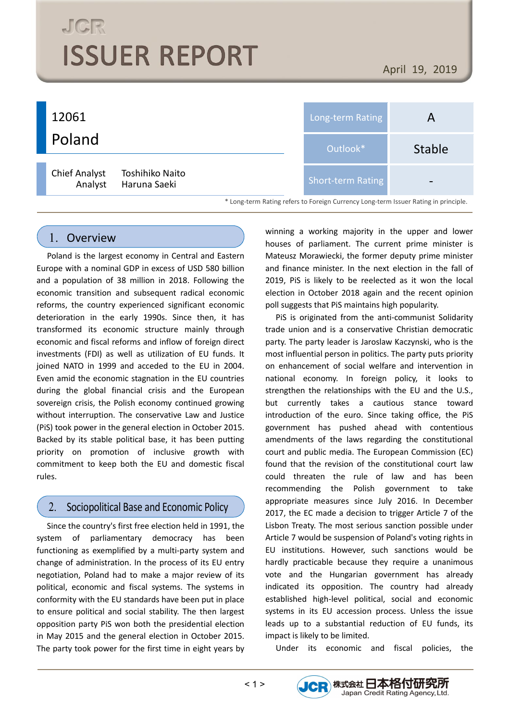# **JGR ISSUER REPORT**

April 19, 2019



#### 1. Overview

Poland is the largest economy in Central and Eastern Europe with a nominal GDP in excess of USD 580 billion and a population of 38 million in 2018. Following the economic transition and subsequent radical economic reforms, the country experienced significant economic deterioration in the early 1990s. Since then, it has transformed its economic structure mainly through economic and fiscal reforms and inflow of foreign direct investments (FDI) as well as utilization of EU funds. It joined NATO in 1999 and acceded to the EU in 2004. Even amid the economic stagnation in the EU countries during the global financial crisis and the European sovereign crisis, the Polish economy continued growing without interruption. The conservative Law and Justice (PiS) took power in the general election in October 2015. Backed by its stable political base, it has been putting priority on promotion of inclusive growth with commitment to keep both the EU and domestic fiscal rules.

#### $2.$ Sociopolitical Base and Economic Policy

Since the country's first free election held in 1991, the system of parliamentary democracy has been functioning as exemplified by a multi-party system and change of administration. In the process of its EU entry negotiation, Poland had to make a major review of its political, economic and fiscal systems. The systems in conformity with the EU standards have been put in place to ensure political and social stability. The then largest opposition party PiS won both the presidential election in May 2015 and the general election in October 2015. The party took power for the first time in eight years by winning a working majority in the upper and lower houses of parliament. The current prime minister is Mateusz Morawiecki, the former deputy prime minister and finance minister. In the next election in the fall of 2019, PiS is likely to be reelected as it won the local election in October 2018 again and the recent opinion poll suggests that PiS maintains high popularity.

PiS is originated from the anti-communist Solidarity trade union and is a conservative Christian democratic party. The party leader is Jaroslaw Kaczynski, who is the most influential person in politics. The party puts priority on enhancement of social welfare and intervention in national economy. In foreign policy, it looks to strengthen the relationships with the EU and the U.S., but currently takes a cautious stance toward introduction of the euro. Since taking office, the PiS government has pushed ahead with contentious amendments of the laws regarding the constitutional court and public media. The European Commission (EC) found that the revision of the constitutional court law could threaten the rule of law and has been recommending the Polish government to take appropriate measures since July 2016. In December 2017, the EC made a decision to trigger Article 7 of the Lisbon Treaty. The most serious sanction possible under Article 7 would be suspension of Poland's voting rights in EU institutions. However, such sanctions would be hardly practicable because they require a unanimous vote and the Hungarian government has already indicated its opposition. The country had already established high-level political, social and economic systems in its EU accession process. Unless the issue leads up to a substantial reduction of EU funds, its impact is likely to be limited.

Under its economic and fiscal policies, the

JCR 株式会社日本格付研究所

Japan Credit Rating Agency, Ltd.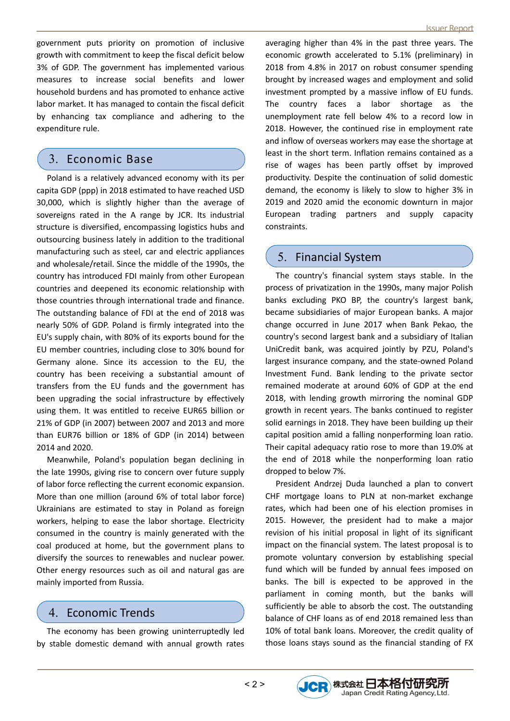government puts priority on promotion of inclusive growth with commitment to keep the fiscal deficit below 3% of GDP. The government has implemented various measures to increase social benefits and lower household burdens and has promoted to enhance active labor market. It has managed to contain the fiscal deficit by enhancing tax compliance and adhering to the expenditure rule.

### 3. Economic Base

Poland is a relatively advanced economy with its per capita GDP (ppp) in 2018 estimated to have reached USD 30,000, which is slightly higher than the average of sovereigns rated in the A range by JCR. Its industrial structure is diversified, encompassing logistics hubs and outsourcing business lately in addition to the traditional manufacturing such as steel, car and electric appliances and wholesale/retail. Since the middle of the 1990s, the country has introduced FDI mainly from other European countries and deepened its economic relationship with those countries through international trade and finance. The outstanding balance of FDI at the end of 2018 was nearly 50% of GDP. Poland is firmly integrated into the EU's supply chain, with 80% of its exports bound for the EU member countries, including close to 30% bound for Germany alone. Since its accession to the EU, the country has been receiving a substantial amount of transfers from the EU funds and the government has been upgrading the social infrastructure by effectively using them. It was entitled to receive EUR65 billion or 21% of GDP (in 2007) between 2007 and 2013 and more than EUR76 billion or 18% of GDP (in 2014) between 2014 and 2020.

Meanwhile, Poland's population began declining in the late 1990s, giving rise to concern over future supply of labor force reflecting the current economic expansion. More than one million (around 6% of total labor force) Ukrainians are estimated to stay in Poland as foreign workers, helping to ease the labor shortage. Electricity consumed in the country is mainly generated with the coal produced at home, but the government plans to diversify the sources to renewables and nuclear power. Other energy resources such as oil and natural gas are mainly imported from Russia.

#### 4. Economic Trends

The economy has been growing uninterruptedly led by stable domestic demand with annual growth rates averaging higher than 4% in the past three years. The economic growth accelerated to 5.1% (preliminary) in 2018 from 4.8% in 2017 on robust consumer spending brought by increased wages and employment and solid investment prompted by a massive inflow of EU funds. The country faces a labor shortage as the unemployment rate fell below 4% to a record low in 2018. However, the continued rise in employment rate and inflow of overseas workers may ease the shortage at least in the short term. Inflation remains contained as a rise of wages has been partly offset by improved productivity. Despite the continuation of solid domestic demand, the economy is likely to slow to higher 3% in 2019 and 2020 amid the economic downturn in major European trading partners and supply capacity constraints.

#### 5. Financial System

The country's financial system stays stable. In the process of privatization in the 1990s, many major Polish banks excluding PKO BP, the country's largest bank, became subsidiaries of major European banks. A major change occurred in June 2017 when Bank Pekao, the country's second largest bank and a subsidiary of Italian UniCredit bank, was acquired jointly by PZU, Poland's largest insurance company, and the state-owned Poland Investment Fund. Bank lending to the private sector remained moderate at around 60% of GDP at the end 2018, with lending growth mirroring the nominal GDP growth in recent years. The banks continued to register solid earnings in 2018. They have been building up their capital position amid a falling nonperforming loan ratio. Their capital adequacy ratio rose to more than 19.0% at the end of 2018 while the nonperforming loan ratio dropped to below 7%.

President Andrzej Duda launched a plan to convert CHF mortgage loans to PLN at non-market exchange rates, which had been one of his election promises in 2015. However, the president had to make a major revision of his initial proposal in light of its significant impact on the financial system. The latest proposal is to promote voluntary conversion by establishing special fund which will be funded by annual fees imposed on banks. The bill is expected to be approved in the parliament in coming month, but the banks will sufficiently be able to absorb the cost. The outstanding balance of CHF loans as of end 2018 remained less than 10% of total bank loans. Moreover, the credit quality of those loans stays sound as the financial standing of FX

JCR 株式会社日本格付研究所

Japan Credit Rating Agency, Ltd.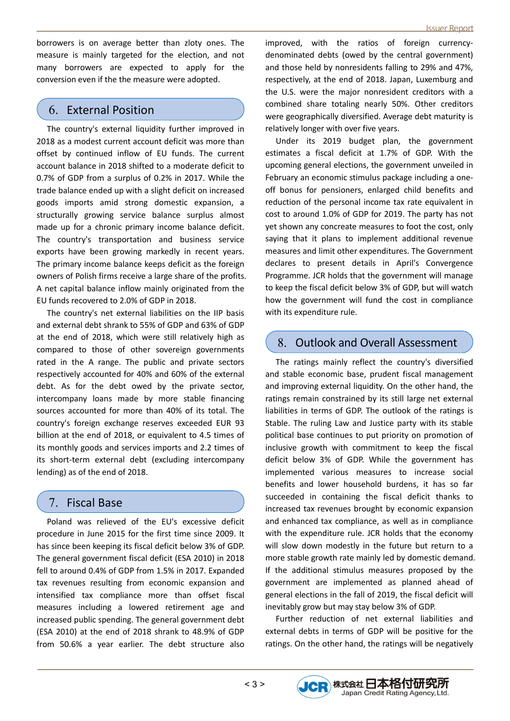borrowers is on average better than zloty ones. The measure is mainly targeted for the election, and not many borrowers are expected to apply for the conversion even if the the measure were adopted.

#### 6. External Position

The country's external liquidity further improved in 2018 as a modest current account deficit was more than offset by continued inflow of EU funds. The current account balance in 2018 shifted to a moderate deficit to 0.7% of GDP from a surplus of 0.2% in 2017. While the trade balance ended up with a slight deficit on increased goods imports amid strong domestic expansion, a structurally growing service balance surplus almost made up for a chronic primary income balance deficit. The country's transportation and business service exports have been growing markedly in recent years. The primary income balance keeps deficit as the foreign owners of Polish firms receive a large share of the profits. A net capital balance inflow mainly originated from the EU funds recovered to 2.0% of GDP in 2018.

The country's net external liabilities on the IIP basis and external debt shrank to 55% of GDP and 63% of GDP at the end of 2018, which were still relatively high as compared to those of other sovereign governments rated in the A range. The public and private sectors respectively accounted for 40% and 60% of the external debt. As for the debt owed by the private sector, intercompany loans made by more stable financing sources accounted for more than 40% of its total. The country's foreign exchange reserves exceeded EUR 93 billion at the end of 2018, or equivalent to 4.5 times of its monthly goods and services imports and 2.2 times of its short-term external debt (excluding intercompany lending) as of the end of 2018.

# 7. Fiscal Base

Poland was relieved of the EU's excessive deficit procedure in June 2015 for the first time since 2009. It has since been keeping its fiscal deficit below 3% of GDP. The general government fiscal deficit (ESA 2010) in 2018 fell to around 0.4% of GDP from 1.5% in 2017. Expanded tax revenues resulting from economic expansion and intensified tax compliance more than offset fiscal measures including a lowered retirement age and increased public spending. The general government debt (ESA 2010) at the end of 2018 shrank to 48.9% of GDP from 50.6% a year earlier. The debt structure also

improved, with the ratios of foreign currencydenominated debts (owed by the central government) and those held by nonresidents falling to 29% and 47%, respectively, at the end of 2018. Japan, Luxemburg and the U.S. were the major nonresident creditors with a combined share totaling nearly 50%. Other creditors were geographically diversified. Average debt maturity is relatively longer with over five years.

Under its 2019 budget plan, the government estimates a fiscal deficit at 1.7% of GDP. With the upcoming general elections, the government unveiled in February an economic stimulus package including a oneoff bonus for pensioners, enlarged child benefits and reduction of the personal income tax rate equivalent in cost to around 1.0% of GDP for 2019. The party has not yet shown any concreate measures to foot the cost, only saying that it plans to implement additional revenue measures and limit other expenditures. The Government declares to present details in April's Convergence Programme. JCR holds that the government will manage to keep the fiscal deficit below 3% of GDP, but will watch how the government will fund the cost in compliance with its expenditure rule.

# 8. Outlook and Overall Assessment

The ratings mainly reflect the country's diversified and stable economic base, prudent fiscal management and improving external liquidity. On the other hand, the ratings remain constrained by its still large net external liabilities in terms of GDP. The outlook of the ratings is Stable. The ruling Law and Justice party with its stable political base continues to put priority on promotion of inclusive growth with commitment to keep the fiscal deficit below 3% of GDP. While the government has implemented various measures to increase social benefits and lower household burdens, it has so far succeeded in containing the fiscal deficit thanks to increased tax revenues brought by economic expansion and enhanced tax compliance, as well as in compliance with the expenditure rule. JCR holds that the economy will slow down modestly in the future but return to a more stable growth rate mainly led by domestic demand. If the additional stimulus measures proposed by the government are implemented as planned ahead of general elections in the fall of 2019, the fiscal deficit will inevitably grow but may stay below 3% of GDP.

Further reduction of net external liabilities and external debts in terms of GDP will be positive for the ratings. On the other hand, the ratings will be negatively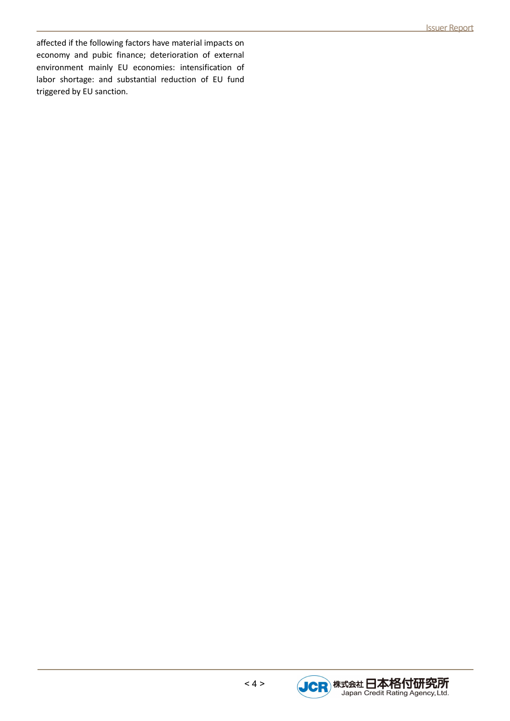affected if the following factors have material impacts on economy and pubic finance; deterioration of external environment mainly EU economies: intensification of labor shortage: and substantial reduction of EU fund triggered by EU sanction.

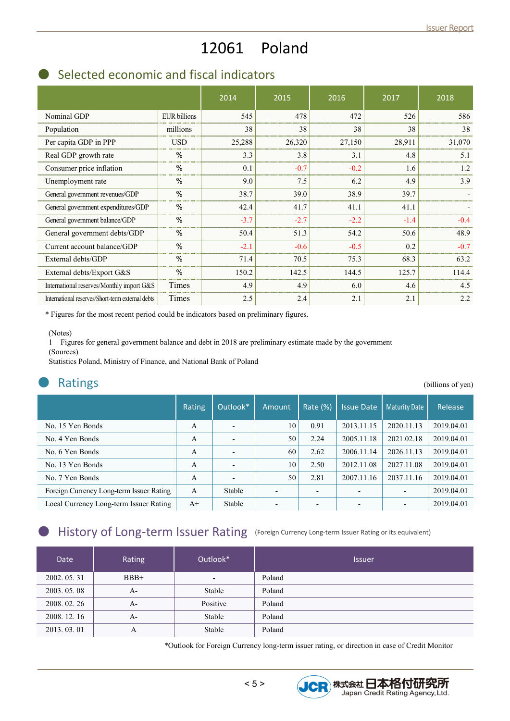# 12061 Poland

# Selected economic and fiscal indicators

|                                                  |                     | 2014   | 2015   | 2016   | 2017   | 2018   |
|--------------------------------------------------|---------------------|--------|--------|--------|--------|--------|
| Nominal GDP                                      | <b>EUR</b> billions | 545    | 478    | 472    | 526    | 586    |
| Population                                       | millions            | 38     | 38     | 38     | 38     | 38     |
| Per capita GDP in PPP                            | <b>USD</b>          | 25,288 | 26,320 | 27,150 | 28,911 | 31,070 |
| Real GDP growth rate                             | $\%$                | 3.3    | 3.8    | 3.1    | 4.8    | 5.1    |
| Consumer price inflation                         | $\%$                | 0.1    | $-0.7$ | $-0.2$ | 1.6    | 1.2    |
| Unemployment rate                                | $\frac{0}{0}$       | 9.0    | 7.5    | 6.2    | 4.9    | 3.9    |
| General government revenues/GDP                  | %                   | 38.7   | 39.0   | 38.9   | 39.7   |        |
| General government expenditures/GDP              | %                   | 42.4   | 41.7   | 41.1   | 41.1   |        |
| General government balance/GDP                   | $\%$                | $-3.7$ | $-2.7$ | $-2.2$ | $-1.4$ | $-0.4$ |
| General government debts/GDP                     | $\%$                | 50.4   | 51.3   | 54.2   | 50.6   | 48.9   |
| Current account balance/GDP                      | %                   | $-2.1$ | $-0.6$ | $-0.5$ | 0.2    | $-0.7$ |
| External debts/GDP                               | %                   | 71.4   | 70.5   | 75.3   | 68.3   | 63.2   |
| External debts/Export G&S                        | $\%$                | 150.2  | 142.5  | 144.5  | 125.7  | 114.4  |
| International reserves/Monthly import G&S        | Times               | 4.9    | 4.9    | 6.0    | 4.6    | 4.5    |
| International reserves/Short-term external debts | Times               | 2.5    | 2.4    | 2.1    | 2.1    | 2.2    |

\* Figures for the most recent period could be indicators based on preliminary figures.

#### (Notes)

1 Figures for general government balance and debt in 2018 are preliminary estimate made by the government (Sources)

Statistics Poland, Ministry of Finance, and National Bank of Poland

| <b>Ratings</b>                           |               |                          |        |             |                   |                      | (billions of yen) |
|------------------------------------------|---------------|--------------------------|--------|-------------|-------------------|----------------------|-------------------|
|                                          | <b>Rating</b> | Outlook*                 | Amount | Rate $(\%)$ | <b>Issue Date</b> | <b>Maturity Date</b> | Release           |
| No. 15 Yen Bonds                         | A             | $\overline{\phantom{0}}$ | 10     | 0.91        | 2013.11.15        | 2020.11.13           | 2019.04.01        |
| No. 4 Yen Bonds                          | A             | $\overline{\phantom{0}}$ | 50     | 2.24        | 2005.11.18        | 2021.02.18           | 2019.04.01        |
| No. 6 Yen Bonds                          | A             | $\overline{\phantom{0}}$ | 60     | 2.62        | 2006.11.14        | 2026.11.13           | 2019.04.01        |
| No. 13 Yen Bonds                         | A             | $\overline{\phantom{0}}$ | 10     | 2.50        | 2012.11.08        | 2027.11.08           | 2019.04.01        |
| No. 7 Yen Bonds                          | A             | $\overline{\phantom{0}}$ | 50     | 2.81        | 2007.11.16        | 2037.11.16           | 2019.04.01        |
| Foreign Currency Long-term Issuer Rating | $\mathbf{A}$  | Stable                   |        |             |                   |                      | 2019.04.01        |
| Local Currency Long-term Issuer Rating   | $A+$          | Stable                   |        |             |                   |                      | 2019.04.01        |

# History of Long-term Issuer Rating (Foreign Currency Long-term Issuer Rating or its equivalent)

| <b>Date</b>  | Rating | Outlook*                 | <b>Issuer</b> |
|--------------|--------|--------------------------|---------------|
| 2002.05.31   | $BBB+$ | $\overline{\phantom{a}}$ | Poland        |
| 2003.05.08   | $A-$   | Stable                   | Poland        |
| 2008.02.26   | $A-$   | Positive                 | Poland        |
| 2008. 12. 16 | $A-$   | Stable                   | Poland        |
| 2013.03.01   | А      | Stable                   | Poland        |

\*Outlook for Foreign Currency long-term issuer rating, or direction in case of Credit Monitor